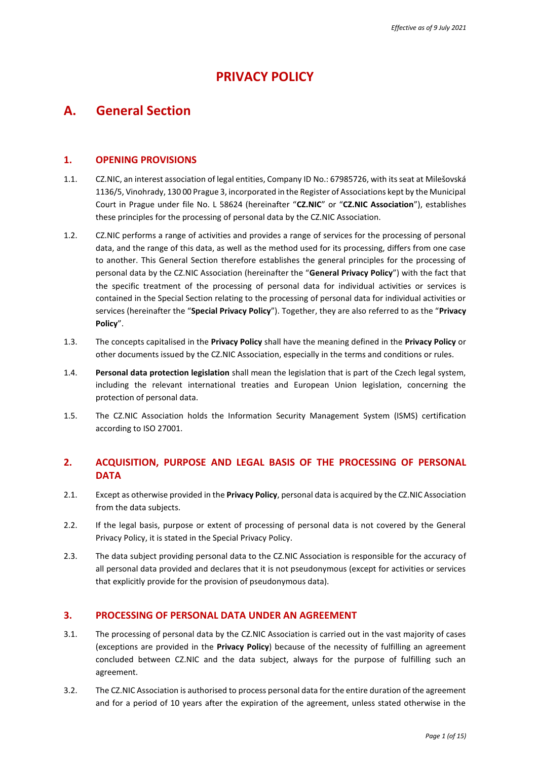# **PRIVACY POLICY**

# **A. General Section**

## **1. OPENING PROVISIONS**

- 1.1. CZ.NIC, an interest association of legal entities, Company ID No.: 67985726, with its seat at Milešovská 1136/5, Vinohrady, 130 00 Prague 3, incorporated in the Register of Associations kept by the Municipal Court in Prague under file No. L 58624 (hereinafter "**CZ.NIC**" or "**CZ.NIC Association**"), establishes these principles for the processing of personal data by the CZ.NIC Association.
- 1.2. CZ.NIC performs a range of activities and provides a range of services for the processing of personal data, and the range of this data, as well as the method used for its processing, differs from one case to another. This General Section therefore establishes the general principles for the processing of personal data by the CZ.NIC Association (hereinafter the "**General Privacy Policy**") with the fact that the specific treatment of the processing of personal data for individual activities or services is contained in the Special Section relating to the processing of personal data for individual activities or services (hereinafter the "**Special Privacy Policy**"). Together, they are also referred to as the "**Privacy Policy**".
- 1.3. The concepts capitalised in the **Privacy Policy** shall have the meaning defined in the **Privacy Policy** or other documents issued by the CZ.NIC Association, especially in the terms and conditions or rules.
- 1.4. **Personal data protection legislation** shall mean the legislation that is part of the Czech legal system, including the relevant international treaties and European Union legislation, concerning the protection of personal data.
- 1.5. The CZ.NIC Association holds the Information Security Management System (ISMS) certification according to ISO 27001.

# **2. ACQUISITION, PURPOSE AND LEGAL BASIS OF THE PROCESSING OF PERSONAL DATA**

- 2.1. Except as otherwise provided in the **Privacy Policy**, personal data is acquired by the CZ.NIC Association from the data subjects.
- 2.2. If the legal basis, purpose or extent of processing of personal data is not covered by the General Privacy Policy, it is stated in the Special Privacy Policy.
- 2.3. The data subject providing personal data to the CZ.NIC Association is responsible for the accuracy of all personal data provided and declares that it is not pseudonymous (except for activities or services that explicitly provide for the provision of pseudonymous data).

#### **3. PROCESSING OF PERSONAL DATA UNDER AN AGREEMENT**

- 3.1. The processing of personal data by the CZ.NIC Association is carried out in the vast majority of cases (exceptions are provided in the **Privacy Policy**) because of the necessity of fulfilling an agreement concluded between CZ.NIC and the data subject, always for the purpose of fulfilling such an agreement.
- <span id="page-0-0"></span>3.2. The CZ.NIC Association is authorised to process personal data for the entire duration of the agreement and for a period of 10 years after the expiration of the agreement, unless stated otherwise in the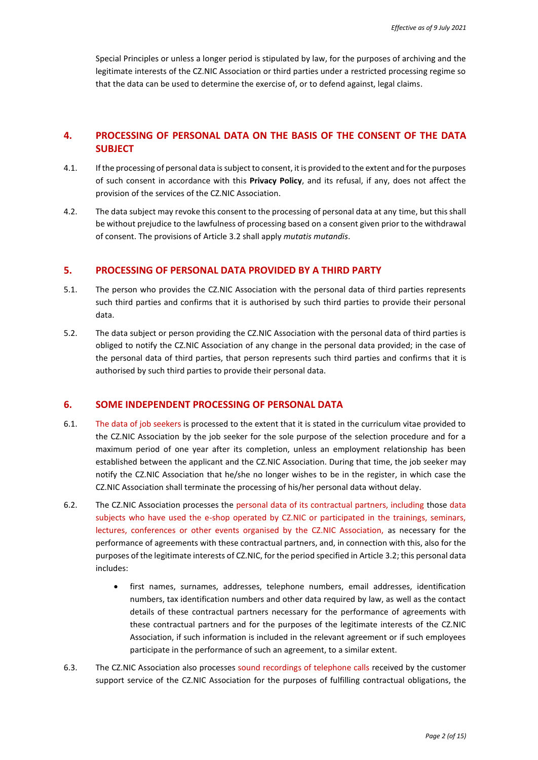Special Principles or unless a longer period is stipulated by law, for the purposes of archiving and the legitimate interests of the CZ.NIC Association or third parties under a restricted processing regime so that the data can be used to determine the exercise of, or to defend against, legal claims.

# **4. PROCESSING OF PERSONAL DATA ON THE BASIS OF THE CONSENT OF THE DATA SUBJECT**

- 4.1. If the processing of personal data is subject to consent, it is provided to the extent and for the purposes of such consent in accordance with this **Privacy Policy**, and its refusal, if any, does not affect the provision of the services of the CZ.NIC Association.
- <span id="page-1-0"></span>4.2. The data subject may revoke this consent to the processing of personal data at any time, but this shall be without prejudice to the lawfulness of processing based on a consent given prior to the withdrawal of consent. The provisions of Article [3.2](#page-0-0) shall apply *mutatis mutandis*.

### **5. PROCESSING OF PERSONAL DATA PROVIDED BY A THIRD PARTY**

- 5.1. The person who provides the CZ.NIC Association with the personal data of third parties represents such third parties and confirms that it is authorised by such third parties to provide their personal data.
- 5.2. The data subject or person providing the CZ.NIC Association with the personal data of third parties is obliged to notify the CZ.NIC Association of any change in the personal data provided; in the case of the personal data of third parties, that person represents such third parties and confirms that it is authorised by such third parties to provide their personal data.

### **6. SOME INDEPENDENT PROCESSING OF PERSONAL DATA**

- 6.1. The data of job seekers is processed to the extent that it is stated in the curriculum vitae provided to the CZ.NIC Association by the job seeker for the sole purpose of the selection procedure and for a maximum period of one year after its completion, unless an employment relationship has been established between the applicant and the CZ.NIC Association. During that time, the job seeker may notify the CZ.NIC Association that he/she no longer wishes to be in the register, in which case the CZ.NIC Association shall terminate the processing of his/her personal data without delay.
- 6.2. The CZ.NIC Association processes the personal data of its contractual partners, including those data subjects who have used the e-shop operated by CZ.NIC or participated in the trainings, seminars, lectures, conferences or other events organised by the CZ.NIC Association, as necessary for the performance of agreements with these contractual partners, and, in connection with this, also for the purposes of the legitimate interests of CZ.NIC, for the period specified in Article [3.2;](#page-0-0) this personal data includes:
	- first names, surnames, addresses, telephone numbers, email addresses, identification numbers, tax identification numbers and other data required by law, as well as the contact details of these contractual partners necessary for the performance of agreements with these contractual partners and for the purposes of the legitimate interests of the CZ.NIC Association, if such information is included in the relevant agreement or if such employees participate in the performance of such an agreement, to a similar extent.
- 6.3. The CZ.NIC Association also processes sound recordings of telephone calls received by the customer support service of the CZ.NIC Association for the purposes of fulfilling contractual obligations, the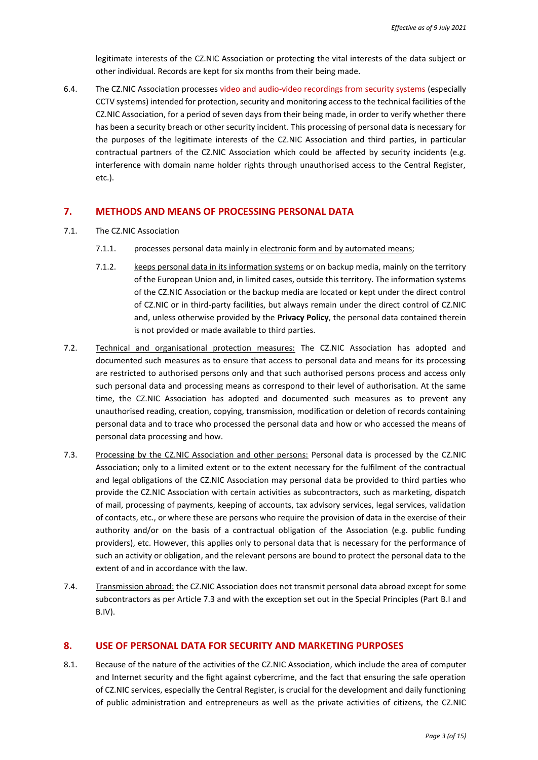legitimate interests of the CZ.NIC Association or protecting the vital interests of the data subject or other individual. Records are kept for six months from their being made.

6.4. The CZ.NIC Association processes video and audio-video recordings from security systems (especially CCTV systems) intended for protection, security and monitoring access to the technical facilities of the CZ.NIC Association, for a period of seven days from their being made, in order to verify whether there has been a security breach or other security incident. This processing of personal data is necessary for the purposes of the legitimate interests of the CZ.NIC Association and third parties, in particular contractual partners of the CZ.NIC Association which could be affected by security incidents (e.g. interference with domain name holder rights through unauthorised access to the Central Register, etc.).

### **7. METHODS AND MEANS OF PROCESSING PERSONAL DATA**

- 7.1. The CZ.NIC Association
	- 7.1.1. processes personal data mainly in electronic form and by automated means;
	- 7.1.2. keeps personal data in its information systems or on backup media, mainly on the territory of the European Union and, in limited cases, outside this territory. The information systems of the CZ.NIC Association or the backup media are located or kept under the direct control of CZ.NIC or in third-party facilities, but always remain under the direct control of CZ.NIC and, unless otherwise provided by the **Privacy Policy**, the personal data contained therein is not provided or made available to third parties.
- 7.2. Technical and organisational protection measures: The CZ.NIC Association has adopted and documented such measures as to ensure that access to personal data and means for its processing are restricted to authorised persons only and that such authorised persons process and access only such personal data and processing means as correspond to their level of authorisation. At the same time, the CZ.NIC Association has adopted and documented such measures as to prevent any unauthorised reading, creation, copying, transmission, modification or deletion of records containing personal data and to trace who processed the personal data and how or who accessed the means of personal data processing and how.
- <span id="page-2-0"></span>7.3. Processing by the CZ.NIC Association and other persons: Personal data is processed by the CZ.NIC Association; only to a limited extent or to the extent necessary for the fulfilment of the contractual and legal obligations of the CZ.NIC Association may personal data be provided to third parties who provide the CZ.NIC Association with certain activities as subcontractors, such as marketing, dispatch of mail, processing of payments, keeping of accounts, tax advisory services, legal services, validation of contacts, etc., or where these are persons who require the provision of data in the exercise of their authority and/or on the basis of a contractual obligation of the Association (e.g. public funding providers), etc. However, this applies only to personal data that is necessary for the performance of such an activity or obligation, and the relevant persons are bound to protect the personal data to the extent of and in accordance with the law.
- 7.4. Transmission abroad: the CZ.NIC Association does not transmit personal data abroad except for some subcontractors as per Article [7.3](#page-2-0) and with the exception set out in the Special Principles (Part [B.I](#page-5-0) and [B.IV\)](#page-14-0).

## **8. USE OF PERSONAL DATA FOR SECURITY AND MARKETING PURPOSES**

8.1. Because of the nature of the activities of the CZ.NIC Association, which include the area of computer and Internet security and the fight against cybercrime, and the fact that ensuring the safe operation of CZ.NIC services, especially the Central Register, is crucial for the development and daily functioning of public administration and entrepreneurs as well as the private activities of citizens, the CZ.NIC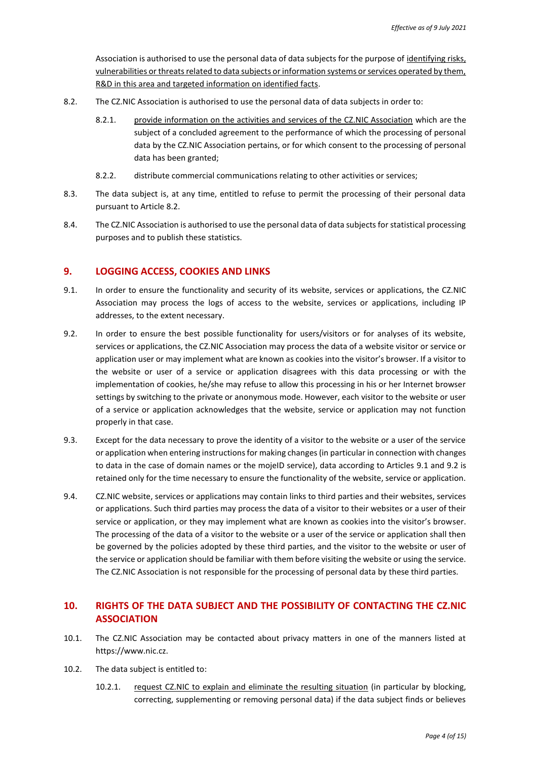Association is authorised to use the personal data of data subjects for the purpose of identifying risks, vulnerabilities or threats related to data subjects or information systems or services operated by them, R&D in this area and targeted information on identified facts.

- <span id="page-3-0"></span>8.2. The CZ.NIC Association is authorised to use the personal data of data subjects in order to:
	- 8.2.1. provide information on the activities and services of the CZ.NIC Association which are the subject of a concluded agreement to the performance of which the processing of personal data by the CZ.NIC Association pertains, or for which consent to the processing of personal data has been granted;
	- 8.2.2. distribute commercial communications relating to other activities or services;
- 8.3. The data subject is, at any time, entitled to refuse to permit the processing of their personal data pursuant to Articl[e 8.2.](#page-3-0)
- 8.4. The CZ.NIC Association is authorised to use the personal data of data subjects for statistical processing purposes and to publish these statistics.

### **9. LOGGING ACCESS, COOKIES AND LINKS**

- <span id="page-3-1"></span>9.1. In order to ensure the functionality and security of its website, services or applications, the CZ.NIC Association may process the logs of access to the website, services or applications, including IP addresses, to the extent necessary.
- <span id="page-3-2"></span>9.2. In order to ensure the best possible functionality for users/visitors or for analyses of its website, services or applications, the CZ.NIC Association may process the data of a website visitor or service or application user or may implement what are known as cookies into the visitor's browser. If a visitor to the website or user of a service or application disagrees with this data processing or with the implementation of cookies, he/she may refuse to allow this processing in his or her Internet browser settings by switching to the private or anonymous mode. However, each visitor to the website or user of a service or application acknowledges that the website, service or application may not function properly in that case.
- 9.3. Except for the data necessary to prove the identity of a visitor to the website or a user of the service or application when entering instructions for making changes (in particular in connection with changes to data in the case of domain names or the mojeID service), data according to Articles [9.1](#page-3-1) and [9.2](#page-3-2) is retained only for the time necessary to ensure the functionality of the website, service or application.
- 9.4. CZ.NIC website, services or applications may contain links to third parties and their websites, services or applications. Such third parties may process the data of a visitor to their websites or a user of their service or application, or they may implement what are known as cookies into the visitor's browser. The processing of the data of a visitor to the website or a user of the service or application shall then be governed by the policies adopted by these third parties, and the visitor to the website or user of the service or application should be familiar with them before visiting the website or using the service. The CZ.NIC Association is not responsible for the processing of personal data by these third parties.

# **10. RIGHTS OF THE DATA SUBJECT AND THE POSSIBILITY OF CONTACTING THE CZ.NIC ASSOCIATION**

- 10.1. The CZ.NIC Association may be contacted about privacy matters in one of the manners listed at https://www.nic.cz.
- 10.2. The data subject is entitled to:
	- 10.2.1. request CZ.NIC to explain and eliminate the resulting situation (in particular by blocking, correcting, supplementing or removing personal data) if the data subject finds or believes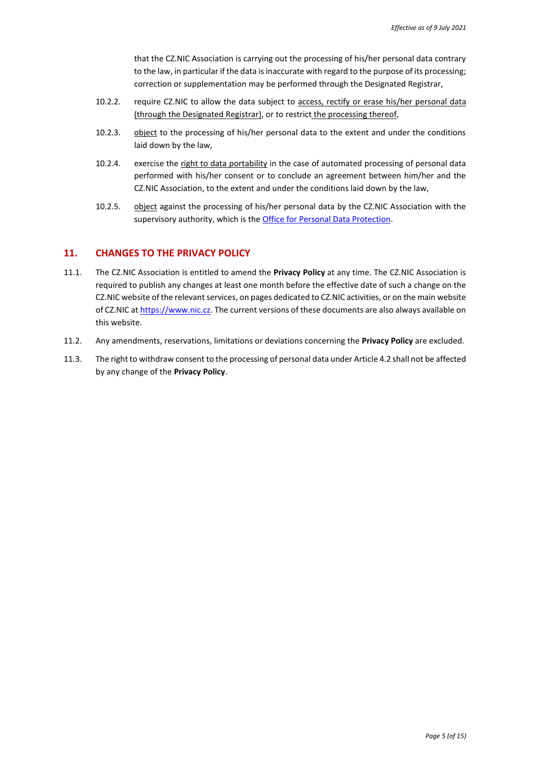that the CZ.NIC Association is carrying out the processing of his/her personal data contrary to the law, in particular if the data is inaccurate with regard to the purpose of its processing; correction or supplementation may be performed through the Designated Registrar,

- 10.2.2. require CZ.NIC to allow the data subject to access, rectify or erase his/her personal data (through the Designated Registrar), or to restrict the processing thereof,
- 10.2.3. object to the processing of his/her personal data to the extent and under the conditions laid down by the law,
- 10.2.4. exercise the right to data portability in the case of automated processing of personal data performed with his/her consent or to conclude an agreement between him/her and the CZ.NIC Association, to the extent and under the conditions laid down by the law,
- 10.2.5. object against the processing of his/her personal data by the CZ.NIC Association with the supervisory authority, which is the [Office for Personal Data Protection.](http://www.uoou.cz/)

### **11. CHANGES TO THE PRIVACY POLICY**

- 11.1. The CZ.NIC Association is entitled to amend the **Privacy Policy** at any time. The CZ.NIC Association is required to publish any changes at least one month before the effective date of such a change on the CZ.NIC website of the relevant services, on pages dedicated to CZ.NIC activities, or on the main website of CZ.NIC a[t https://www.nic.cz.](https://www.nic.cz/) The current versions of these documents are also always available on this website.
- 11.2. Any amendments, reservations, limitations or deviations concerning the **Privacy Policy** are excluded.
- 11.3. The right to withdraw consent to the processing of personal data under Articl[e 4.2](#page-1-0) shall not be affected by any change of the **Privacy Policy**.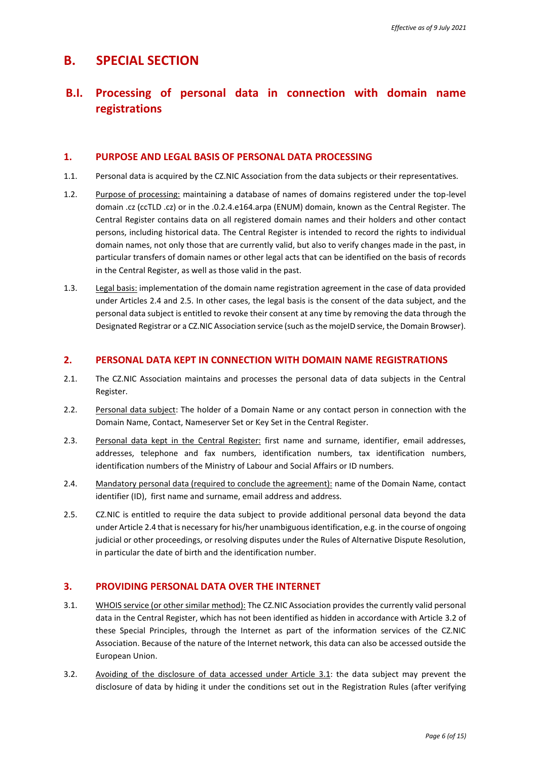# <span id="page-5-0"></span>**B. SPECIAL SECTION**

# **B.I. Processing of personal data in connection with domain name registrations**

## **1. PURPOSE AND LEGAL BASIS OF PERSONAL DATA PROCESSING**

- 1.1. Personal data is acquired by the CZ.NIC Association from the data subjects or their representatives.
- 1.2. Purpose of processing: maintaining a database of names of domains registered under the top-level domain .cz (ccTLD .cz) or in the .0.2.4.e164.arpa (ENUM) domain, known as the Central Register. The Central Register contains data on all registered domain names and their holders and other contact persons, including historical data. The Central Register is intended to record the rights to individual domain names, not only those that are currently valid, but also to verify changes made in the past, in particular transfers of domain names or other legal acts that can be identified on the basis of records in the Central Register, as well as those valid in the past.
- 1.3. Legal basis: implementation of the domain name registration agreement in the case of data provided under Articles [2.4](#page-5-1) and [2.5.](#page-5-2) In other cases, the legal basis is the consent of the data subject, and the personal data subject is entitled to revoke their consent at any time by removing the data through the Designated Registrar or a CZ.NIC Association service (such as the mojeID service, the Domain Browser).

### **2. PERSONAL DATA KEPT IN CONNECTION WITH DOMAIN NAME REGISTRATIONS**

- 2.1. The CZ.NIC Association maintains and processes the personal data of data subjects in the Central Register.
- 2.2. Personal data subject: The holder of a Domain Name or any contact person in connection with the Domain Name, Contact, Nameserver Set or Key Set in the Central Register.
- 2.3. Personal data kept in the Central Register: first name and surname, identifier, email addresses, addresses, telephone and fax numbers, identification numbers, tax identification numbers, identification numbers of the Ministry of Labour and Social Affairs or ID numbers.
- <span id="page-5-1"></span>2.4. Mandatory personal data (required to conclude the agreement): name of the Domain Name, contact identifier (ID), first name and surname, email address and address.
- <span id="page-5-2"></span>2.5. CZ.NIC is entitled to require the data subject to provide additional personal data beyond the data under Articl[e 2.4](#page-5-1) that is necessary for his/her unambiguous identification, e.g. in the course of ongoing judicial or other proceedings, or resolving disputes under the Rules of Alternative Dispute Resolution, in particular the date of birth and the identification number.

## **3. PROVIDING PERSONAL DATA OVER THE INTERNET**

- <span id="page-5-4"></span>3.1. WHOIS service (or other similar method): The CZ.NIC Association provides the currently valid personal data in the Central Register, which has not been identified as hidden in accordance with Article [3.2](#page-5-3) of these Special Principles, through the Internet as part of the information services of the CZ.NIC Association. Because of the nature of the Internet network, this data can also be accessed outside the European Union.
- <span id="page-5-3"></span>3.2. Avoiding of the disclosure of data accessed under Article [3.1:](#page-5-4) the data subject may prevent the disclosure of data by hiding it under the conditions set out in the Registration Rules (after verifying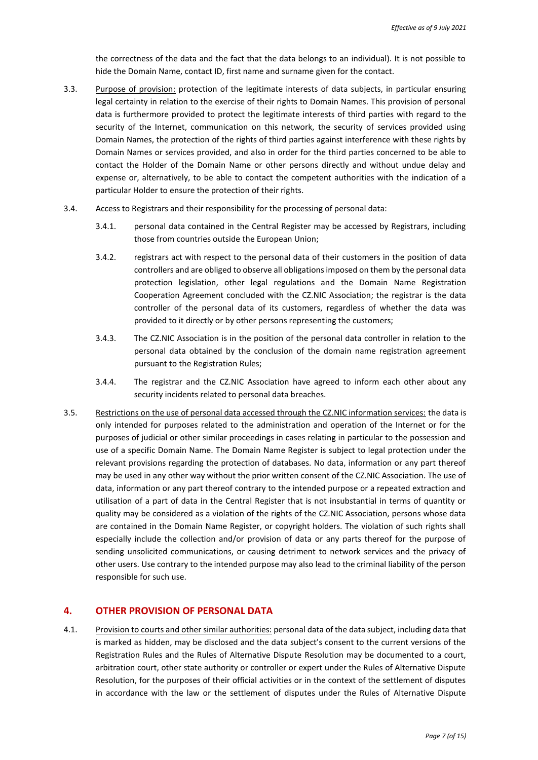the correctness of the data and the fact that the data belongs to an individual). It is not possible to hide the Domain Name, contact ID, first name and surname given for the contact.

- 3.3. Purpose of provision: protection of the legitimate interests of data subjects, in particular ensuring legal certainty in relation to the exercise of their rights to Domain Names. This provision of personal data is furthermore provided to protect the legitimate interests of third parties with regard to the security of the Internet, communication on this network, the security of services provided using Domain Names, the protection of the rights of third parties against interference with these rights by Domain Names or services provided, and also in order for the third parties concerned to be able to contact the Holder of the Domain Name or other persons directly and without undue delay and expense or, alternatively, to be able to contact the competent authorities with the indication of a particular Holder to ensure the protection of their rights.
- 3.4. Access to Registrars and their responsibility for the processing of personal data:
	- 3.4.1. personal data contained in the Central Register may be accessed by Registrars, including those from countries outside the European Union;
	- 3.4.2. registrars act with respect to the personal data of their customers in the position of data controllers and are obliged to observe all obligations imposed on them by the personal data protection legislation, other legal regulations and the Domain Name Registration Cooperation Agreement concluded with the CZ.NIC Association; the registrar is the data controller of the personal data of its customers, regardless of whether the data was provided to it directly or by other persons representing the customers;
	- 3.4.3. The CZ.NIC Association is in the position of the personal data controller in relation to the personal data obtained by the conclusion of the domain name registration agreement pursuant to the Registration Rules;
	- 3.4.4. The registrar and the CZ.NIC Association have agreed to inform each other about any security incidents related to personal data breaches.
- 3.5. Restrictions on the use of personal data accessed through the CZ.NIC information services: the data is only intended for purposes related to the administration and operation of the Internet or for the purposes of judicial or other similar proceedings in cases relating in particular to the possession and use of a specific Domain Name. The Domain Name Register is subject to legal protection under the relevant provisions regarding the protection of databases. No data, information or any part thereof may be used in any other way without the prior written consent of the CZ.NIC Association. The use of data, information or any part thereof contrary to the intended purpose or a repeated extraction and utilisation of a part of data in the Central Register that is not insubstantial in terms of quantity or quality may be considered as a violation of the rights of the CZ.NIC Association, persons whose data are contained in the Domain Name Register, or copyright holders. The violation of such rights shall especially include the collection and/or provision of data or any parts thereof for the purpose of sending unsolicited communications, or causing detriment to network services and the privacy of other users. Use contrary to the intended purpose may also lead to the criminal liability of the person responsible for such use.

## **4. OTHER PROVISION OF PERSONAL DATA**

4.1. Provision to courts and other similar authorities: personal data of the data subject, including data that is marked as hidden, may be disclosed and the data subject's consent to the current versions of the Registration Rules and the Rules of Alternative Dispute Resolution may be documented to a court, arbitration court, other state authority or controller or expert under the Rules of Alternative Dispute Resolution, for the purposes of their official activities or in the context of the settlement of disputes in accordance with the law or the settlement of disputes under the Rules of Alternative Dispute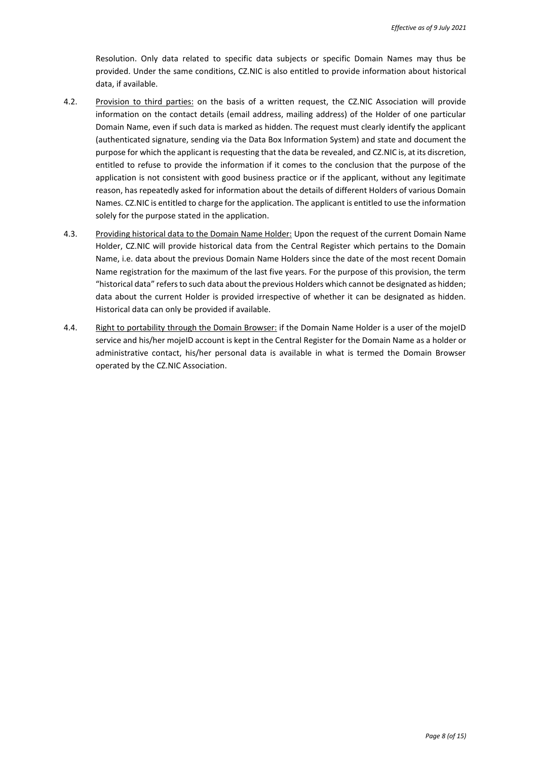Resolution. Only data related to specific data subjects or specific Domain Names may thus be provided. Under the same conditions, CZ.NIC is also entitled to provide information about historical data, if available.

- 4.2. Provision to third parties: on the basis of a written request, the CZ.NIC Association will provide information on the contact details (email address, mailing address) of the Holder of one particular Domain Name, even if such data is marked as hidden. The request must clearly identify the applicant (authenticated signature, sending via the Data Box Information System) and state and document the purpose for which the applicant is requesting that the data be revealed, and CZ.NIC is, at its discretion, entitled to refuse to provide the information if it comes to the conclusion that the purpose of the application is not consistent with good business practice or if the applicant, without any legitimate reason, has repeatedly asked for information about the details of different Holders of various Domain Names. CZ.NIC is entitled to charge for the application. The applicant is entitled to use the information solely for the purpose stated in the application.
- 4.3. Providing historical data to the Domain Name Holder: Upon the request of the current Domain Name Holder, CZ.NIC will provide historical data from the Central Register which pertains to the Domain Name, i.e. data about the previous Domain Name Holders since the date of the most recent Domain Name registration for the maximum of the last five years. For the purpose of this provision, the term "historical data" refers to such data about the previous Holders which cannot be designated as hidden; data about the current Holder is provided irrespective of whether it can be designated as hidden. Historical data can only be provided if available.
- 4.4. Right to portability through the Domain Browser: if the Domain Name Holder is a user of the mojeID service and his/her mojeID account is kept in the Central Register for the Domain Name as a holder or administrative contact, his/her personal data is available in what is termed the Domain Browser operated by the CZ.NIC Association.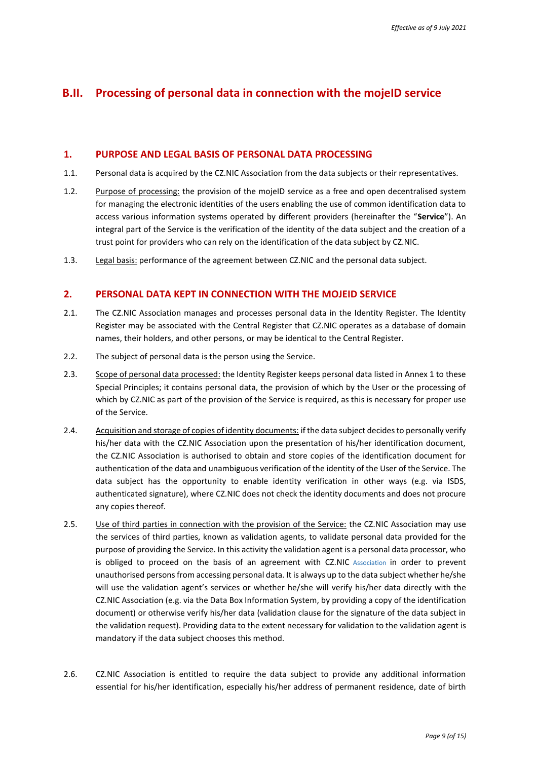# **B.II. Processing of personal data in connection with the mojeID service**

## **1. PURPOSE AND LEGAL BASIS OF PERSONAL DATA PROCESSING**

- 1.1. Personal data is acquired by the CZ.NIC Association from the data subjects or their representatives.
- 1.2. Purpose of processing: the provision of the mojeID service as a free and open decentralised system for managing the electronic identities of the users enabling the use of common identification data to access various information systems operated by different providers (hereinafter the "**Service**"). An integral part of the Service is the verification of the identity of the data subject and the creation of a trust point for providers who can rely on the identification of the data subject by CZ.NIC.
- 1.3. Legal basis: performance of the agreement between CZ.NIC and the personal data subject.

### **2. PERSONAL DATA KEPT IN CONNECTION WITH THE MOJEID SERVICE**

- 2.1. The CZ.NIC Association manages and processes personal data in the Identity Register. The Identity Register may be associated with the Central Register that CZ.NIC operates as a database of domain names, their holders, and other persons, or may be identical to the Central Register.
- 2.2. The subject of personal data is the person using the Service.
- 2.3. Scope of personal data processed: the Identity Register keeps personal data listed in Annex 1 to these Special Principles; it contains personal data, the provision of which by the User or the processing of which by CZ.NIC as part of the provision of the Service is required, as this is necessary for proper use of the Service.
- 2.4. Acquisition and storage of copies of identity documents: if the data subject decides to personally verify his/her data with the CZ.NIC Association upon the presentation of his/her identification document, the CZ.NIC Association is authorised to obtain and store copies of the identification document for authentication of the data and unambiguous verification of the identity of the User of the Service. The data subject has the opportunity to enable identity verification in other ways (e.g. via ISDS, authenticated signature), where CZ.NIC does not check the identity documents and does not procure any copies thereof.
- 2.5. Use of third parties in connection with the provision of the Service: the CZ.NIC Association may use the services of third parties, known as validation agents, to validate personal data provided for the purpose of providing the Service. In this activity the validation agent is a personal data processor, who is obliged to proceed on the basis of an agreement with CZ.NIC Association in order to prevent unauthorised persons from accessing personal data. It is always up to the data subject whether he/she will use the validation agent's services or whether he/she will verify his/her data directly with the CZ.NIC Association (e.g. via the Data Box Information System, by providing a copy of the identification document) or otherwise verify his/her data (validation clause for the signature of the data subject in the validation request). Providing data to the extent necessary for validation to the validation agent is mandatory if the data subject chooses this method.
- 2.6. CZ.NIC Association is entitled to require the data subject to provide any additional information essential for his/her identification, especially his/her address of permanent residence, date of birth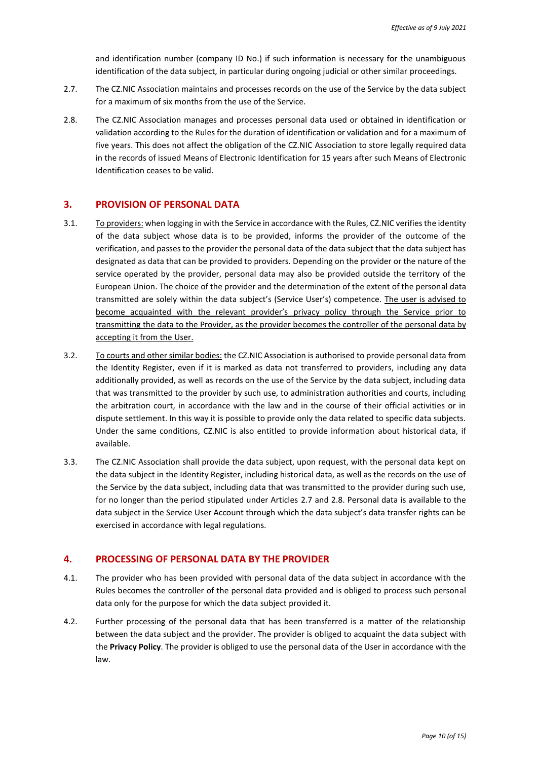and identification number (company ID No.) if such information is necessary for the unambiguous identification of the data subject, in particular during ongoing judicial or other similar proceedings.

- <span id="page-9-0"></span>2.7. The CZ.NIC Association maintains and processes records on the use of the Service by the data subject for a maximum of six months from the use of the Service.
- <span id="page-9-1"></span>2.8. The CZ.NIC Association manages and processes personal data used or obtained in identification or validation according to the Rules for the duration of identification or validation and for a maximum of five years. This does not affect the obligation of the CZ.NIC Association to store legally required data in the records of issued Means of Electronic Identification for 15 years after such Means of Electronic Identification ceases to be valid.

# **3. PROVISION OF PERSONAL DATA**

- 3.1. To providers: when logging in with the Service in accordance with the Rules, CZ.NIC verifies the identity of the data subject whose data is to be provided, informs the provider of the outcome of the verification, and passes to the provider the personal data of the data subject that the data subject has designated as data that can be provided to providers. Depending on the provider or the nature of the service operated by the provider, personal data may also be provided outside the territory of the European Union. The choice of the provider and the determination of the extent of the personal data transmitted are solely within the data subject's (Service User's) competence. The user is advised to become acquainted with the relevant provider's privacy policy through the Service prior to transmitting the data to the Provider, as the provider becomes the controller of the personal data by accepting it from the User.
- 3.2. To courts and other similar bodies: the CZ.NIC Association is authorised to provide personal data from the Identity Register, even if it is marked as data not transferred to providers, including any data additionally provided, as well as records on the use of the Service by the data subject, including data that was transmitted to the provider by such use, to administration authorities and courts, including the arbitration court, in accordance with the law and in the course of their official activities or in dispute settlement. In this way it is possible to provide only the data related to specific data subjects. Under the same conditions, CZ.NIC is also entitled to provide information about historical data, if available.
- 3.3. The CZ.NIC Association shall provide the data subject, upon request, with the personal data kept on the data subject in the Identity Register, including historical data, as well as the records on the use of the Service by the data subject, including data that was transmitted to the provider during such use, for no longer than the period stipulated under Articles [2.7](#page-9-0) and [2.8.](#page-9-1) Personal data is available to the data subject in the Service User Account through which the data subject's data transfer rights can be exercised in accordance with legal regulations.

### **4. PROCESSING OF PERSONAL DATA BY THE PROVIDER**

- 4.1. The provider who has been provided with personal data of the data subject in accordance with the Rules becomes the controller of the personal data provided and is obliged to process such personal data only for the purpose for which the data subject provided it.
- 4.2. Further processing of the personal data that has been transferred is a matter of the relationship between the data subject and the provider. The provider is obliged to acquaint the data subject with the **Privacy Policy**. The provider is obliged to use the personal data of the User in accordance with the law.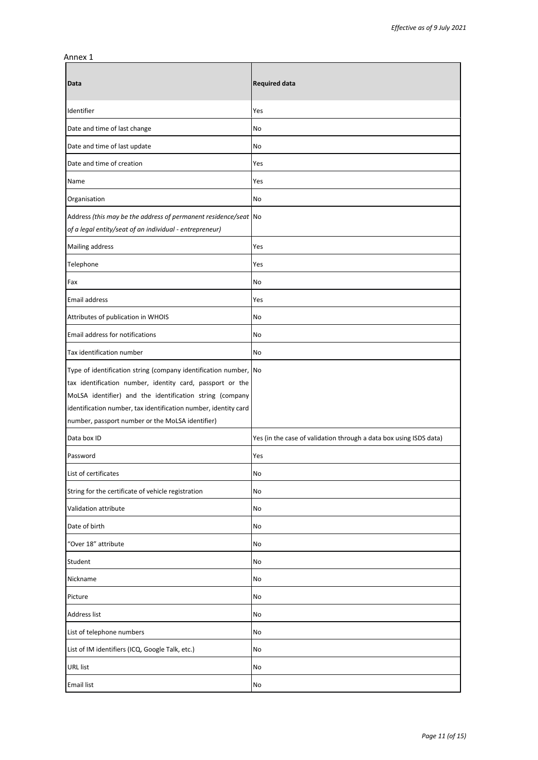#### Annex 1

| Data                                                                                                                                                                                                                                                                                                             | <b>Required data</b>                                               |
|------------------------------------------------------------------------------------------------------------------------------------------------------------------------------------------------------------------------------------------------------------------------------------------------------------------|--------------------------------------------------------------------|
| Identifier                                                                                                                                                                                                                                                                                                       | Yes                                                                |
| Date and time of last change                                                                                                                                                                                                                                                                                     | No                                                                 |
| Date and time of last update                                                                                                                                                                                                                                                                                     | No                                                                 |
| Date and time of creation                                                                                                                                                                                                                                                                                        | Yes                                                                |
| Name                                                                                                                                                                                                                                                                                                             | Yes                                                                |
| Organisation                                                                                                                                                                                                                                                                                                     | No                                                                 |
| Address (this may be the address of permanent residence/seat No<br>of a legal entity/seat of an individual - entrepreneur)                                                                                                                                                                                       |                                                                    |
| Mailing address                                                                                                                                                                                                                                                                                                  | Yes                                                                |
| Telephone                                                                                                                                                                                                                                                                                                        | Yes                                                                |
| Fax                                                                                                                                                                                                                                                                                                              | No                                                                 |
| Email address                                                                                                                                                                                                                                                                                                    | Yes                                                                |
| Attributes of publication in WHOIS                                                                                                                                                                                                                                                                               | No                                                                 |
| Email address for notifications                                                                                                                                                                                                                                                                                  | No                                                                 |
| Tax identification number                                                                                                                                                                                                                                                                                        | No                                                                 |
| Type of identification string (company identification number, No<br>tax identification number, identity card, passport or the<br>MoLSA identifier) and the identification string (company<br>identification number, tax identification number, identity card<br>number, passport number or the MoLSA identifier) |                                                                    |
| Data box ID                                                                                                                                                                                                                                                                                                      | Yes (in the case of validation through a data box using ISDS data) |
| Password                                                                                                                                                                                                                                                                                                         | Yes                                                                |
| List of certificates                                                                                                                                                                                                                                                                                             | No                                                                 |
| String for the certificate of vehicle registration                                                                                                                                                                                                                                                               | No                                                                 |
| Validation attribute                                                                                                                                                                                                                                                                                             | No                                                                 |
| Date of birth                                                                                                                                                                                                                                                                                                    | No                                                                 |
| "Over 18" attribute                                                                                                                                                                                                                                                                                              | No                                                                 |
| Student                                                                                                                                                                                                                                                                                                          | No                                                                 |
| Nickname                                                                                                                                                                                                                                                                                                         | No                                                                 |
| Picture                                                                                                                                                                                                                                                                                                          | No                                                                 |
| Address list                                                                                                                                                                                                                                                                                                     | No                                                                 |
| List of telephone numbers                                                                                                                                                                                                                                                                                        | No                                                                 |
| List of IM identifiers (ICQ, Google Talk, etc.)                                                                                                                                                                                                                                                                  | No                                                                 |
| <b>URL</b> list                                                                                                                                                                                                                                                                                                  | No                                                                 |
| <b>Email list</b>                                                                                                                                                                                                                                                                                                | $\operatorname{\mathsf{No}}$                                       |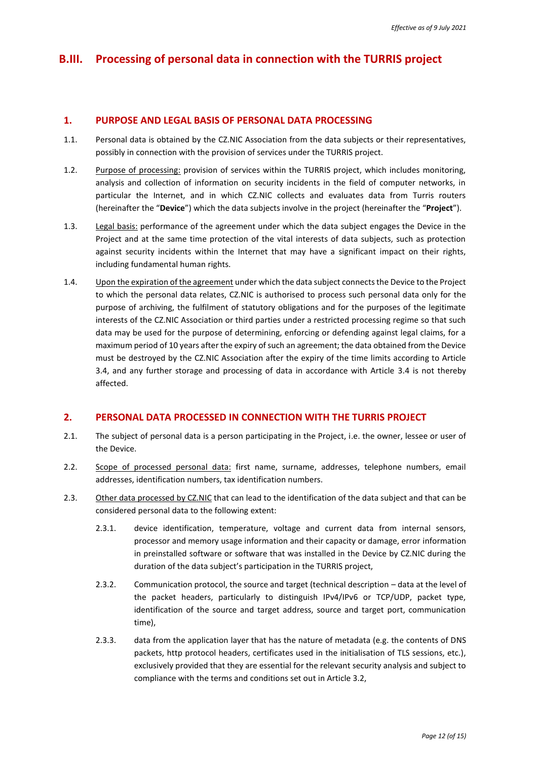# **B.III. Processing of personal data in connection with the TURRIS project**

### **1. PURPOSE AND LEGAL BASIS OF PERSONAL DATA PROCESSING**

- 1.1. Personal data is obtained by the CZ.NIC Association from the data subjects or their representatives, possibly in connection with the provision of services under the TURRIS project.
- 1.2. Purpose of processing: provision of services within the TURRIS project, which includes monitoring, analysis and collection of information on security incidents in the field of computer networks, in particular the Internet, and in which CZ.NIC collects and evaluates data from Turris routers (hereinafter the "**Device**") which the data subjects involve in the project (hereinafter the "**Project**").
- 1.3. Legal basis: performance of the agreement under which the data subject engages the Device in the Project and at the same time protection of the vital interests of data subjects, such as protection against security incidents within the Internet that may have a significant impact on their rights, including fundamental human rights.
- 1.4. Upon the expiration of the agreement under which the data subject connects the Device to the Project to which the personal data relates, CZ.NIC is authorised to process such personal data only for the purpose of archiving, the fulfilment of statutory obligations and for the purposes of the legitimate interests of the CZ.NIC Association or third parties under a restricted processing regime so that such data may be used for the purpose of determining, enforcing or defending against legal claims, for a maximum period of 10 years after the expiry of such an agreement; the data obtained from the Device must be destroyed by the CZ.NIC Association after the expiry of the time limits according to Article [3.4,](#page-12-0) and any further storage and processing of data in accordance with Article [3.4](#page-12-0) is not thereby affected.

## **2. PERSONAL DATA PROCESSED IN CONNECTION WITH THE TURRIS PROJECT**

- <span id="page-11-2"></span>2.1. The subject of personal data is a person participating in the Project, i.e. the owner, lessee or user of the Device.
- 2.2. Scope of processed personal data: first name, surname, addresses, telephone numbers, email addresses, identification numbers, tax identification numbers.
- <span id="page-11-3"></span><span id="page-11-1"></span><span id="page-11-0"></span>2.3. Other data processed by CZ.NIC that can lead to the identification of the data subject and that can be considered personal data to the following extent:
	- 2.3.1. device identification, temperature, voltage and current data from internal sensors, processor and memory usage information and their capacity or damage, error information in preinstalled software or software that was installed in the Device by CZ.NIC during the duration of the data subject's participation in the TURRIS project,
	- 2.3.2. Communication protocol, the source and target (technical description data at the level of the packet headers, particularly to distinguish IPv4/IPv6 or TCP/UDP, packet type, identification of the source and target address, source and target port, communication time),
	- 2.3.3. data from the application layer that has the nature of metadata (e.g. the contents of DNS packets, http protocol headers, certificates used in the initialisation of TLS sessions, etc.), exclusively provided that they are essential for the relevant security analysis and subject to compliance with the terms and conditions set out in Article 3.2,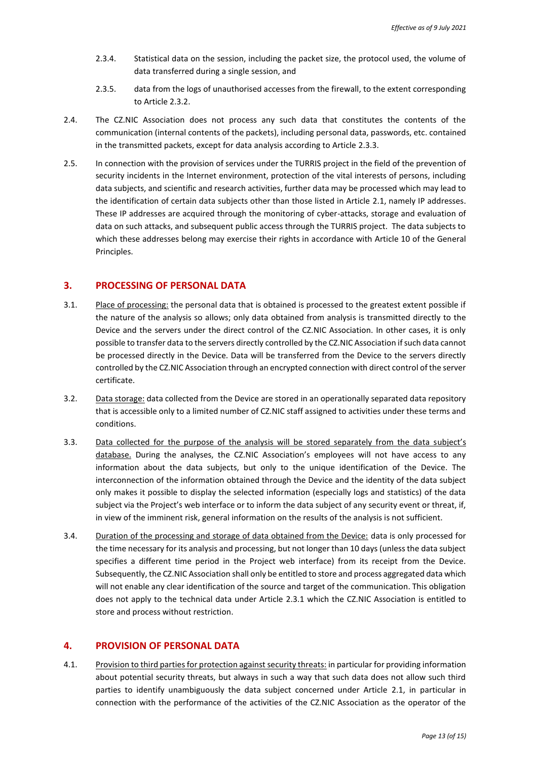- 2.3.4. Statistical data on the session, including the packet size, the protocol used, the volume of data transferred during a single session, and
- 2.3.5. data from the logs of unauthorised accesses from the firewall, to the extent corresponding to Article [2.3.2.](#page-11-0)
- 2.4. The CZ.NIC Association does not process any such data that constitutes the contents of the communication (internal contents of the packets), including personal data, passwords, etc. contained in the transmitted packets, except for data analysis according to Article [2.3.3.](#page-11-1)
- 2.5. In connection with the provision of services under the TURRIS project in the field of the prevention of security incidents in the Internet environment, protection of the vital interests of persons, including data subjects, and scientific and research activities, further data may be processed which may lead to the identification of certain data subjects other than those listed in Article [2.1,](#page-11-2) namely IP addresses. These IP addresses are acquired through the monitoring of cyber-attacks, storage and evaluation of data on such attacks, and subsequent public access through the TURRIS project. The data subjects to which these addresses belong may exercise their rights in accordance with Article 10 of the General Principles.

### **3. PROCESSING OF PERSONAL DATA**

- 3.1. Place of processing: the personal data that is obtained is processed to the greatest extent possible if the nature of the analysis so allows; only data obtained from analysis is transmitted directly to the Device and the servers under the direct control of the CZ.NIC Association. In other cases, it is only possible to transfer data to the servers directly controlled by the CZ.NIC Association if such data cannot be processed directly in the Device. Data will be transferred from the Device to the servers directly controlled by the CZ.NIC Association through an encrypted connection with direct control of the server certificate.
- 3.2. Data storage: data collected from the Device are stored in an operationally separated data repository that is accessible only to a limited number of CZ.NIC staff assigned to activities under these terms and conditions.
- 3.3. Data collected for the purpose of the analysis will be stored separately from the data subject's database. During the analyses, the CZ.NIC Association's employees will not have access to any information about the data subjects, but only to the unique identification of the Device. The interconnection of the information obtained through the Device and the identity of the data subject only makes it possible to display the selected information (especially logs and statistics) of the data subject via the Project's web interface or to inform the data subject of any security event or threat, if, in view of the imminent risk, general information on the results of the analysis is not sufficient.
- <span id="page-12-0"></span>3.4. Duration of the processing and storage of data obtained from the Device: data is only processed for the time necessary for its analysis and processing, but not longer than 10 days (unless the data subject specifies a different time period in the Project web interface) from its receipt from the Device. Subsequently, the CZ.NIC Association shall only be entitled to store and process aggregated data which will not enable any clear identification of the source and target of the communication. This obligation does not apply to the technical data under Article [2.3.1](#page-11-3) which the CZ.NIC Association is entitled to store and process without restriction.

#### **4. PROVISION OF PERSONAL DATA**

4.1. Provision to third parties for protection against security threats: in particular for providing information about potential security threats, but always in such a way that such data does not allow such third parties to identify unambiguously the data subject concerned under Article [2.1,](#page-11-2) in particular in connection with the performance of the activities of the CZ.NIC Association as the operator of the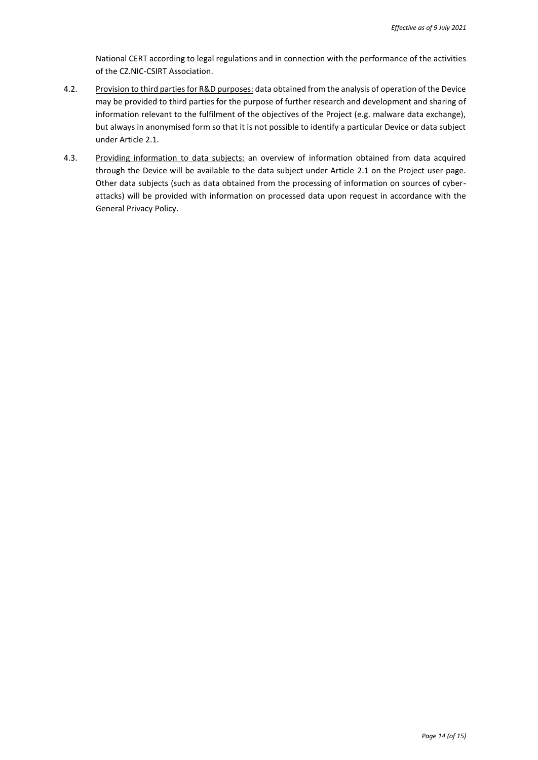National CERT according to legal regulations and in connection with the performance of the activities of the CZ.NIC-CSIRT Association.

- 4.2. Provision to third parties for R&D purposes: data obtained from the analysis of operation of the Device may be provided to third parties for the purpose of further research and development and sharing of information relevant to the fulfilment of the objectives of the Project (e.g. malware data exchange), but always in anonymised form so that it is not possible to identify a particular Device or data subject under Article [2.1.](#page-11-2)
- 4.3. Providing information to data subjects: an overview of information obtained from data acquired through the Device will be available to the data subject under Article [2.1](#page-11-2) on the Project user page. Other data subjects (such as data obtained from the processing of information on sources of cyberattacks) will be provided with information on processed data upon request in accordance with the General Privacy Policy.